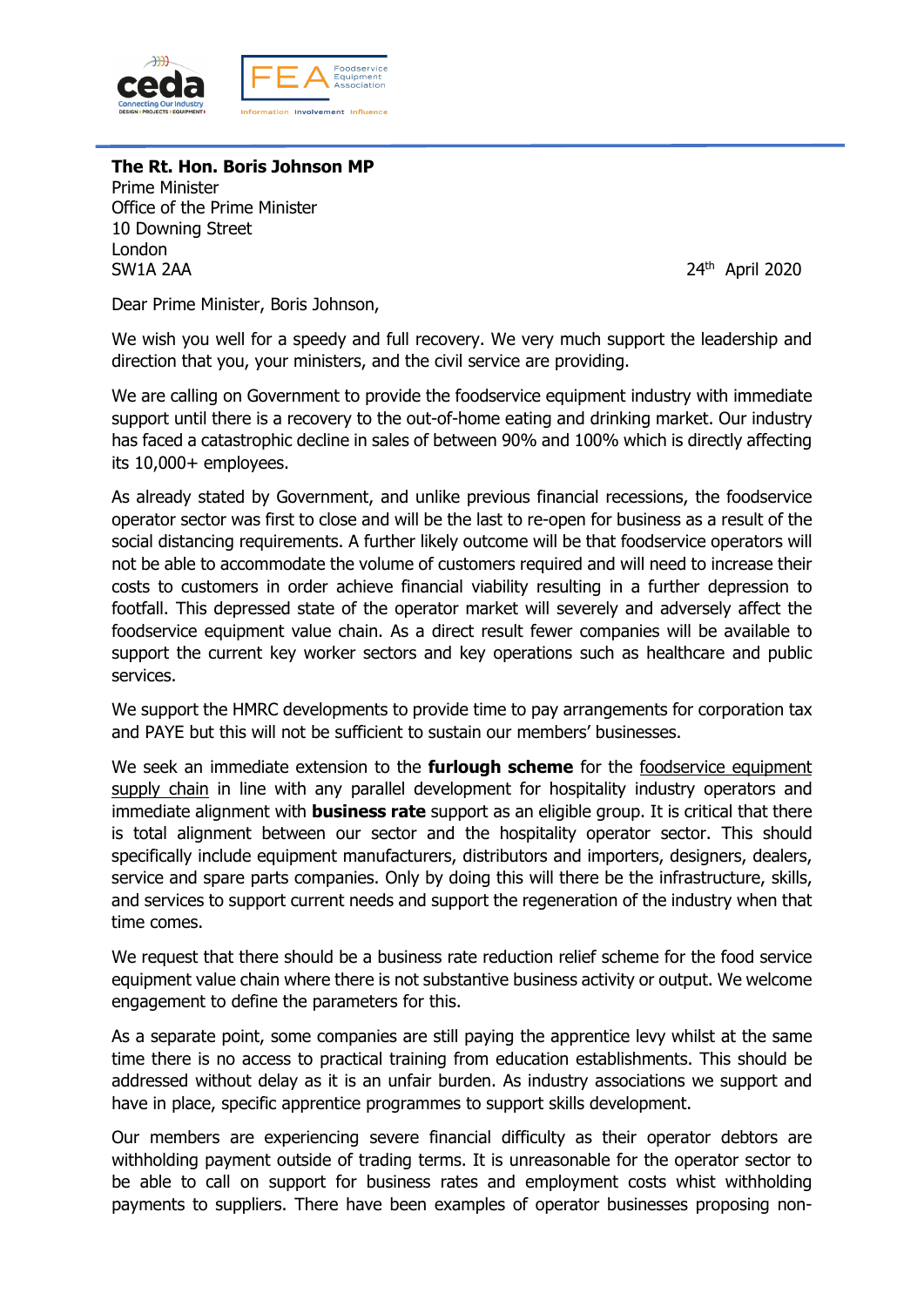

# **The Rt. Hon. Boris Johnson MP**

Prime Minister Office of the Prime Minister 10 Downing Street London SW1A 2AA 24th April 2020

Dear Prime Minister, Boris Johnson,

We wish you well for a speedy and full recovery. We very much support the leadership and direction that you, your ministers, and the civil service are providing.

We are calling on Government to provide the foodservice equipment industry with immediate support until there is a recovery to the out-of-home eating and drinking market. Our industry has faced a catastrophic decline in sales of between 90% and 100% which is directly affecting its 10,000+ employees.

As already stated by Government, and unlike previous financial recessions, the foodservice operator sector was first to close and will be the last to re-open for business as a result of the social distancing requirements. A further likely outcome will be that foodservice operators will not be able to accommodate the volume of customers required and will need to increase their costs to customers in order achieve financial viability resulting in a further depression to footfall. This depressed state of the operator market will severely and adversely affect the foodservice equipment value chain. As a direct result fewer companies will be available to support the current key worker sectors and key operations such as healthcare and public services.

We support the HMRC developments to provide time to pay arrangements for corporation tax and PAYE but this will not be sufficient to sustain our members' businesses.

We seek an immediate extension to the **furlough scheme** for the foodservice equipment supply chain in line with any parallel development for hospitality industry operators and immediate alignment with **business rate** support as an eligible group. It is critical that there is total alignment between our sector and the hospitality operator sector. This should specifically include equipment manufacturers, distributors and importers, designers, dealers, service and spare parts companies. Only by doing this will there be the infrastructure, skills, and services to support current needs and support the regeneration of the industry when that time comes.

We request that there should be a business rate reduction relief scheme for the food service equipment value chain where there is not substantive business activity or output. We welcome engagement to define the parameters for this.

As a separate point, some companies are still paying the apprentice levy whilst at the same time there is no access to practical training from education establishments. This should be addressed without delay as it is an unfair burden. As industry associations we support and have in place, specific apprentice programmes to support skills development.

Our members are experiencing severe financial difficulty as their operator debtors are withholding payment outside of trading terms. It is unreasonable for the operator sector to be able to call on support for business rates and employment costs whist withholding payments to suppliers. There have been examples of operator businesses proposing non-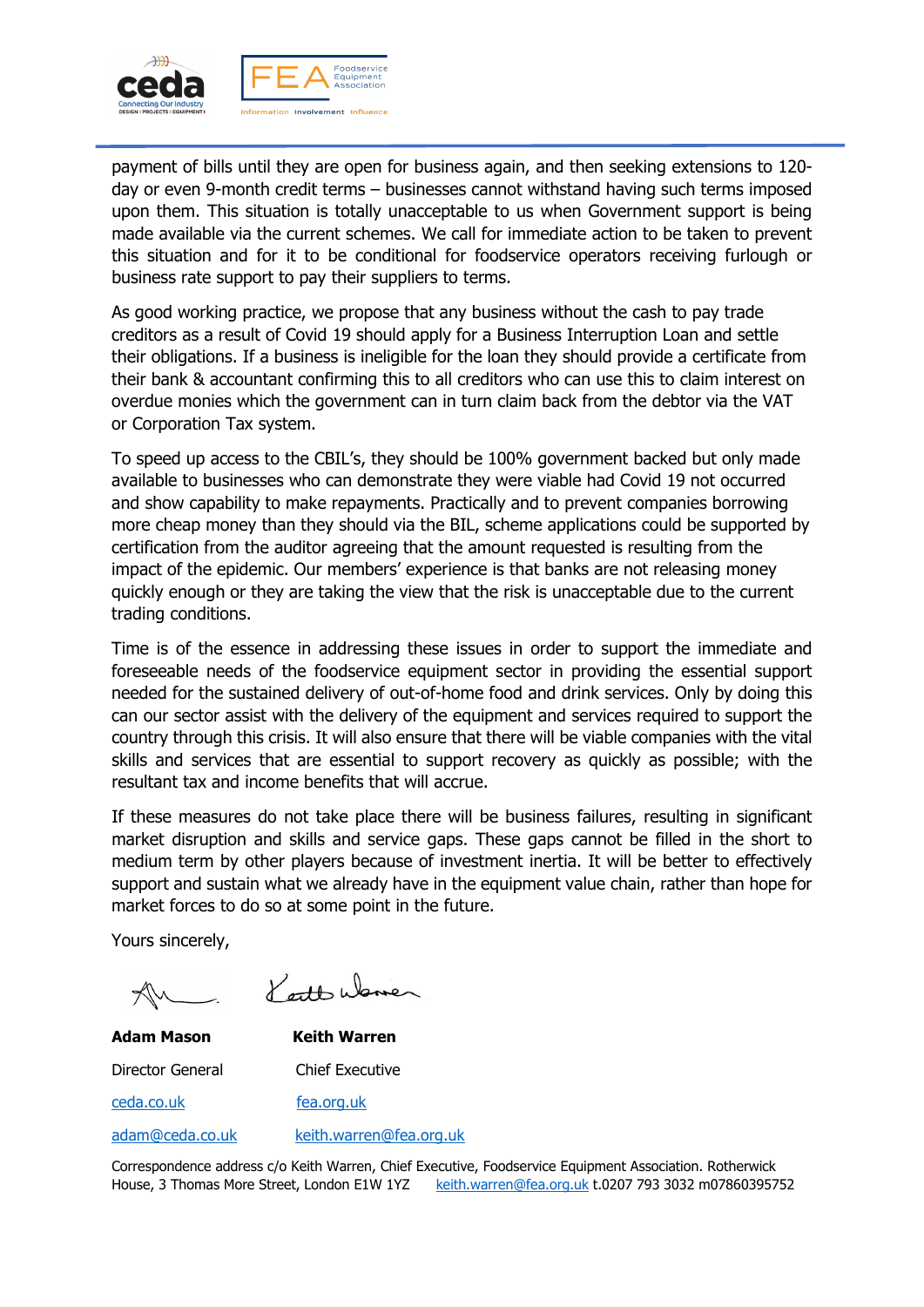

payment of bills until they are open for business again, and then seeking extensions to 120 day or even 9-month credit terms – businesses cannot withstand having such terms imposed upon them. This situation is totally unacceptable to us when Government support is being made available via the current schemes. We call for immediate action to be taken to prevent this situation and for it to be conditional for foodservice operators receiving furlough or business rate support to pay their suppliers to terms.

As good working practice, we propose that any business without the cash to pay trade creditors as a result of Covid 19 should apply for a Business Interruption Loan and settle their obligations. If a business is ineligible for the loan they should provide a certificate from their bank & accountant confirming this to all creditors who can use this to claim interest on overdue monies which the government can in turn claim back from the debtor via the VAT or Corporation Tax system.

To speed up access to the CBIL's, they should be 100% government backed but only made available to businesses who can demonstrate they were viable had Covid 19 not occurred and show capability to make repayments. Practically and to prevent companies borrowing more cheap money than they should via the BIL, scheme applications could be supported by certification from the auditor agreeing that the amount requested is resulting from the impact of the epidemic. Our members' experience is that banks are not releasing money quickly enough or they are taking the view that the risk is unacceptable due to the current trading conditions.

Time is of the essence in addressing these issues in order to support the immediate and foreseeable needs of the foodservice equipment sector in providing the essential support needed for the sustained delivery of out-of-home food and drink services. Only by doing this can our sector assist with the delivery of the equipment and services required to support the country through this crisis. It will also ensure that there will be viable companies with the vital skills and services that are essential to support recovery as quickly as possible; with the resultant tax and income benefits that will accrue.

If these measures do not take place there will be business failures, resulting in significant market disruption and skills and service gaps. These gaps cannot be filled in the short to medium term by other players because of investment inertia. It will be better to effectively support and sustain what we already have in the equipment value chain, rather than hope for market forces to do so at some point in the future.

Yours sincerely,

Kett Ware

**Adam Mason Keith Warren** Director General Chief Executive ceda.co.uk fea.org.uk adam@ceda.co.uk keith.warren@fea.org.uk

Correspondence address c/o Keith Warren, Chief Executive, Foodservice Equipment Association. Rotherwick House, 3 Thomas More Street, London E1W 1YZ keith.warren@fea.org.uk t.0207 793 3032 m07860395752